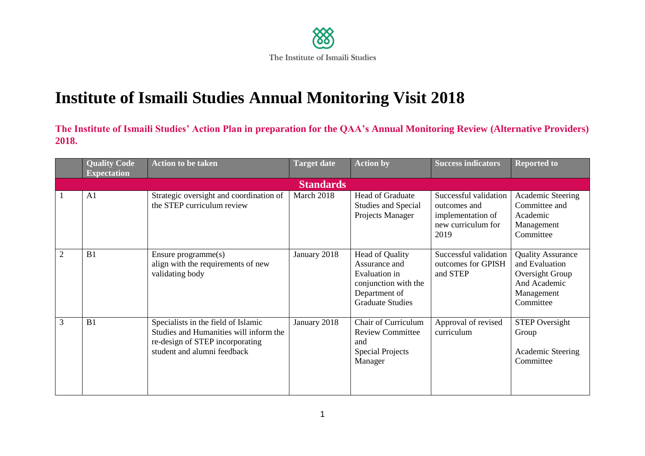

## **Institute of Ismaili Studies Annual Monitoring Visit 2018**

**The Institute of Ismaili Studies' Action Plan in preparation for the QAA's Annual Monitoring Review (Alternative Providers) 2018.**

|                | <b>Quality Code</b><br><b>Expectation</b> | <b>Action to be taken</b>                                                                                                                       | <b>Target date</b> | <b>Action by</b>                                                                                                             | <b>Success indicators</b>                                                                | <b>Reported to</b>                                                                                       |  |  |  |
|----------------|-------------------------------------------|-------------------------------------------------------------------------------------------------------------------------------------------------|--------------------|------------------------------------------------------------------------------------------------------------------------------|------------------------------------------------------------------------------------------|----------------------------------------------------------------------------------------------------------|--|--|--|
|                | <b>Standards</b>                          |                                                                                                                                                 |                    |                                                                                                                              |                                                                                          |                                                                                                          |  |  |  |
|                | A1                                        | Strategic oversight and coordination of<br>the STEP curriculum review                                                                           | March 2018         | <b>Head of Graduate</b><br>Studies and Special<br>Projects Manager                                                           | Successful validation<br>outcomes and<br>implementation of<br>new curriculum for<br>2019 | Academic Steering<br>Committee and<br>Academic<br>Management<br>Committee                                |  |  |  |
| $\overline{2}$ | B1                                        | Ensure $programme(s)$<br>align with the requirements of new<br>validating body                                                                  | January 2018       | <b>Head of Quality</b><br>Assurance and<br>Evaluation in<br>conjunction with the<br>Department of<br><b>Graduate Studies</b> | Successful validation<br>outcomes for GPISH<br>and STEP                                  | <b>Quality Assurance</b><br>and Evaluation<br>Oversight Group<br>And Academic<br>Management<br>Committee |  |  |  |
| 3              | B1                                        | Specialists in the field of Islamic<br>Studies and Humanities will inform the<br>re-design of STEP incorporating<br>student and alumni feedback | January 2018       | Chair of Curriculum<br><b>Review Committee</b><br>and<br><b>Special Projects</b><br>Manager                                  | Approval of revised<br>curriculum                                                        | <b>STEP Oversight</b><br>Group<br><b>Academic Steering</b><br>Committee                                  |  |  |  |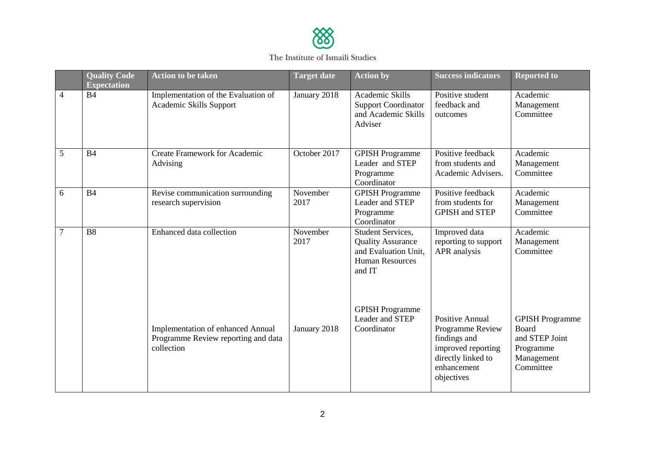

## The Institute of Ismaili Studies

|                | <b>Quality Code</b><br><b>Expectation</b> | <b>Action to be taken</b>                                                                     | <b>Target date</b> | <b>Action by</b>                                                                                          | <b>Success indicators</b>                                                                                                           | <b>Reported to</b>                                                                        |
|----------------|-------------------------------------------|-----------------------------------------------------------------------------------------------|--------------------|-----------------------------------------------------------------------------------------------------------|-------------------------------------------------------------------------------------------------------------------------------------|-------------------------------------------------------------------------------------------|
| $\overline{4}$ | <b>B4</b>                                 | Implementation of the Evaluation of<br>Academic Skills Support                                | January 2018       | Academic Skills<br><b>Support Coordinator</b><br>and Academic Skills<br>Adviser                           | Positive student<br>feedback and<br>outcomes                                                                                        | Academic<br>Management<br>Committee                                                       |
| 5              | <b>B4</b>                                 | <b>Create Framework for Academic</b><br>Advising                                              | October 2017       | <b>GPISH Programme</b><br>Leader and STEP<br>Programme<br>Coordinator                                     | Positive feedback<br>from students and<br>Academic Advisers.                                                                        | Academic<br>Management<br>Committee                                                       |
| 6              | <b>B4</b>                                 | Revise communication surrounding<br>research supervision                                      | November<br>2017   | <b>GPISH Programme</b><br>Leader and STEP<br>Programme<br>Coordinator                                     | Positive feedback<br>from students for<br><b>GPISH and STEP</b>                                                                     | Academic<br>Management<br>Committee                                                       |
| $\overline{7}$ | <b>B8</b>                                 | Enhanced data collection                                                                      | November<br>2017   | Student Services,<br><b>Quality Assurance</b><br>and Evaluation Unit,<br><b>Human Resources</b><br>and IT | Improved data<br>reporting to support<br>APR analysis                                                                               | Academic<br>Management<br>Committee                                                       |
|                |                                           | <b>Implementation of enhanced Annual</b><br>Programme Review reporting and data<br>collection | January 2018       | <b>GPISH Programme</b><br>Leader and STEP<br>Coordinator                                                  | <b>Positive Annual</b><br>Programme Review<br>findings and<br>improved reporting<br>directly linked to<br>enhancement<br>objectives | <b>GPISH Programme</b><br>Board<br>and STEP Joint<br>Programme<br>Management<br>Committee |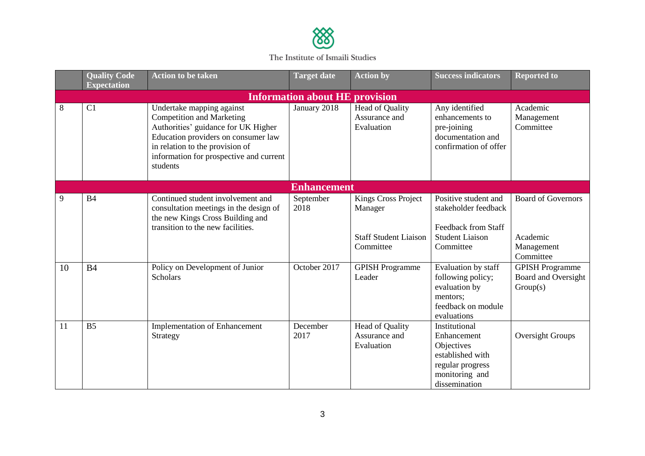

The Institute of Ismaili Studies

|                                       | <b>Quality Code</b><br><b>Expectation</b> | <b>Action to be taken</b>                                                                                                                                                                                                             | <b>Target date</b> | <b>Action by</b>                                      | <b>Success indicators</b>                                                                                             | <b>Reported to</b>                                               |  |  |  |
|---------------------------------------|-------------------------------------------|---------------------------------------------------------------------------------------------------------------------------------------------------------------------------------------------------------------------------------------|--------------------|-------------------------------------------------------|-----------------------------------------------------------------------------------------------------------------------|------------------------------------------------------------------|--|--|--|
| <b>Information about HE provision</b> |                                           |                                                                                                                                                                                                                                       |                    |                                                       |                                                                                                                       |                                                                  |  |  |  |
| 8                                     | C1                                        | Undertake mapping against<br><b>Competition and Marketing</b><br>Authorities' guidance for UK Higher<br>Education providers on consumer law<br>in relation to the provision of<br>information for prospective and current<br>students | January 2018       | <b>Head of Quality</b><br>Assurance and<br>Evaluation | Any identified<br>enhancements to<br>pre-joining<br>documentation and<br>confirmation of offer                        | Academic<br>Management<br>Committee                              |  |  |  |
|                                       | <b>Enhancement</b>                        |                                                                                                                                                                                                                                       |                    |                                                       |                                                                                                                       |                                                                  |  |  |  |
| 9                                     | <b>B4</b>                                 | Continued student involvement and<br>consultation meetings in the design of<br>the new Kings Cross Building and                                                                                                                       | September<br>2018  | Kings Cross Project<br>Manager                        | Positive student and<br>stakeholder feedback                                                                          | <b>Board of Governors</b>                                        |  |  |  |
|                                       |                                           | transition to the new facilities.                                                                                                                                                                                                     |                    | <b>Staff Student Liaison</b><br>Committee             | <b>Feedback from Staff</b><br><b>Student Liaison</b><br>Committee                                                     | Academic<br>Management<br>Committee                              |  |  |  |
| 10                                    | B <sub>4</sub>                            | Policy on Development of Junior<br><b>Scholars</b>                                                                                                                                                                                    | October 2017       | <b>GPISH Programme</b><br>Leader                      | Evaluation by staff<br>following policy;<br>evaluation by<br>mentors;<br>feedback on module<br>evaluations            | <b>GPISH Programme</b><br><b>Board and Oversight</b><br>Group(s) |  |  |  |
| 11                                    | B <sub>5</sub>                            | <b>Implementation of Enhancement</b><br>Strategy                                                                                                                                                                                      | December<br>2017   | Head of Quality<br>Assurance and<br>Evaluation        | Institutional<br>Enhancement<br>Objectives<br>established with<br>regular progress<br>monitoring and<br>dissemination | Oversight Groups                                                 |  |  |  |